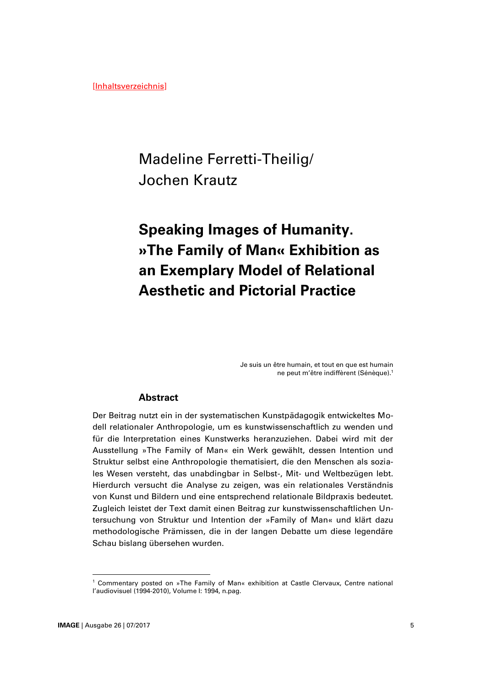## Madeline Ferretti-Theilig/ Jochen Krautz

# **Speaking Images of Humanity. »The Family of Man« Exhibition as an Exemplary Model of Relational Aesthetic and Pictorial Practice**

Je suis un être humain, et tout en que est humain ne peut m'être indiffèrent (Sénèque).<sup>1</sup>

## **Abstract**

Der Beitrag nutzt ein in der systematischen Kunstpädagogik entwickeltes Modell relationaler Anthropologie, um es kunstwissenschaftlich zu wenden und für die Interpretation eines Kunstwerks heranzuziehen. Dabei wird mit der Ausstellung »The Family of Man« ein Werk gewählt, dessen Intention und Struktur selbst eine Anthropologie thematisiert, die den Menschen als soziales Wesen versteht, das unabdingbar in Selbst-, Mit- und Weltbezügen lebt. Hierdurch versucht die Analyse zu zeigen, was ein relationales Verständnis von Kunst und Bildern und eine entsprechend relationale Bildpraxis bedeutet. Zugleich leistet der Text damit einen Beitrag zur kunstwissenschaftlichen Untersuchung von Struktur und Intention der »Family of Man« und klärt dazu methodologische Prämissen, die in der langen Debatte um diese legendäre Schau bislang übersehen wurden.

<sup>1</sup> Commentary posted on »The Family of Man« exhibition at Castle Clervaux, Centre national l'audiovisuel (1994-2010), Volume I: 1994, n.pag.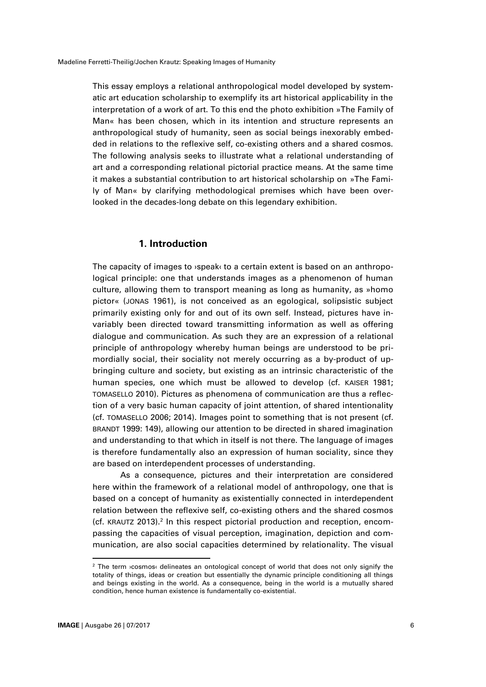This essay employs a relational anthropological model developed by systematic art education scholarship to exemplify its art historical applicability in the interpretation of a work of art. To this end the photo exhibition »The Family of Man« has been chosen, which in its intention and structure represents an anthropological study of humanity, seen as social beings inexorably embedded in relations to the reflexive self, co-existing others and a shared cosmos. The following analysis seeks to illustrate what a relational understanding of art and a corresponding relational pictorial practice means. At the same time it makes a substantial contribution to art historical scholarship on »The Family of Man« by clarifying methodological premises which have been overlooked in the decades-long debate on this legendary exhibition.

#### **1. Introduction**

The capacity of images to ›speak‹ to a certain extent is based on an anthropological principle: one that understands images as a phenomenon of human culture, allowing them to transport meaning as long as humanity, as »homo pictor« (JONAS 1961), is not conceived as an egological, solipsistic subject primarily existing only for and out of its own self. Instead, pictures have invariably been directed toward transmitting information as well as offering dialogue and communication. As such they are an expression of a relational principle of anthropology whereby human beings are understood to be primordially social, their sociality not merely occurring as a by-product of upbringing culture and society, but existing as an intrinsic characteristic of the human species, one which must be allowed to develop (cf. KAISER 1981; TOMASELLO 2010). Pictures as phenomena of communication are thus a reflection of a very basic human capacity of joint attention, of shared intentionality (cf. TOMASELLO 2006; 2014). Images point to something that is not present (cf. BRANDT 1999: 149), allowing our attention to be directed in shared imagination and understanding to that which in itself is not there. The language of images is therefore fundamentally also an expression of human sociality, since they are based on interdependent processes of understanding.

As a consequence, pictures and their interpretation are considered here within the framework of a relational model of anthropology, one that is based on a concept of humanity as existentially connected in interdependent relation between the reflexive self, co-existing others and the shared cosmos (cf. KRAUTZ 2013). 2 In this respect pictorial production and reception, encompassing the capacities of visual perception, imagination, depiction and communication, are also social capacities determined by relationality. The visual

 $\overline{a}$ 

<sup>&</sup>lt;sup>2</sup> The term **>**cosmos< delineates an ontological concept of world that does not only signify the totality of things, ideas or creation but essentially the dynamic principle conditioning all things and beings existing in the world. As a consequence, being in the world is a mutually shared condition, hence human existence is fundamentally co-existential.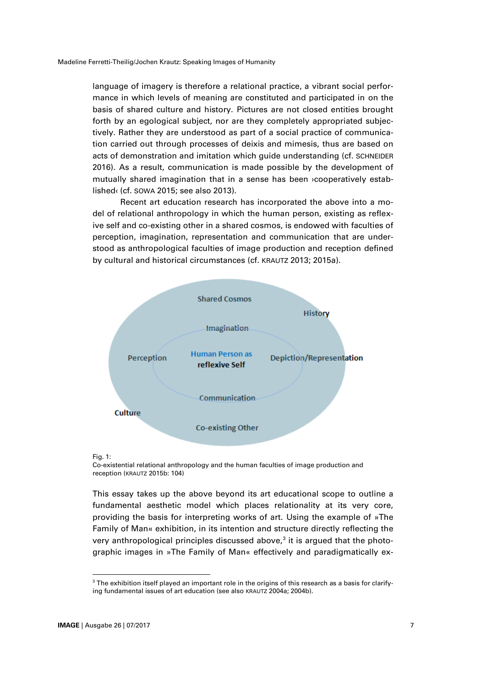language of imagery is therefore a relational practice, a vibrant social performance in which levels of meaning are constituted and participated in on the basis of shared culture and history. Pictures are not closed entities brought forth by an egological subject, nor are they completely appropriated subjectively. Rather they are understood as part of a social practice of communication carried out through processes of deixis and mimesis, thus are based on acts of demonstration and imitation which guide understanding (cf. SCHNEIDER 2016). As a result, communication is made possible by the development of mutually shared imagination that in a sense has been ›cooperatively established‹ (cf. SOWA 2015; see also 2013).

Recent art education research has incorporated the above into a model of relational anthropology in which the human person, existing as reflexive self and co-existing other in a shared cosmos, is endowed with faculties of perception, imagination, representation and communication that are understood as anthropological faculties of image production and reception defined by cultural and historical circumstances (cf. KRAUTZ 2013; 2015a).



Fig. 1:

Co-existential relational anthropology and the human faculties of image production and reception (KRAUTZ 2015b: 104)

This essay takes up the above beyond its art educational scope to outline a fundamental aesthetic model which places relationality at its very core, providing the basis for interpreting works of art. Using the example of »The Family of Man« exhibition, in its intention and structure directly reflecting the very anthropological principles discussed above, $^3$  it is argued that the photographic images in »The Family of Man« effectively and paradigmatically ex-

 $3$  The exhibition itself played an important role in the origins of this research as a basis for clarifying fundamental issues of art education (see also KRAUTZ 2004a; 2004b).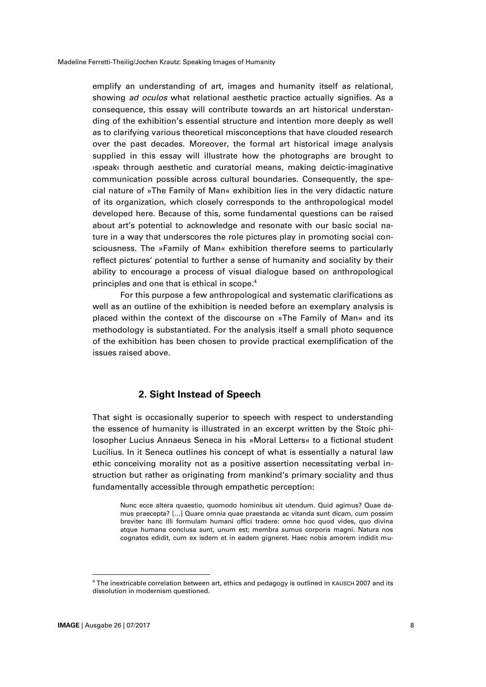emplify an understanding of art, images and humanity itself as relational, showing *ad oculos* what relational aesthetic practice actually signifies. As a consequence, this essay will contribute towards an art historical understanding of the exhibition's essential structure and intention more deeply as well as to clarifying various theoretical misconceptions that have clouded research over the past decades. Moreover, the formal art historical image analysis supplied in this essay will illustrate how the photographs are brought to ›speak‹ through aesthetic and curatorial means, making deictic-imaginative communication possible across cultural boundaries. Consequently, the special nature of »The Family of Man« exhibition lies in the very didactic nature of its organization, which closely corresponds to the anthropological model developed here. Because of this, some fundamental questions can be raised about art's potential to acknowledge and resonate with our basic social nature in a way that underscores the role pictures play in promoting social consciousness. The »Family of Man« exhibition therefore seems to particularly reflect pictures' potential to further a sense of humanity and sociality by their ability to encourage a process of visual dialogue based on anthropological principles and one that is ethical in scope. 4

For this purpose a few anthropological and systematic clarifications as well as an outline of the exhibition is needed before an exemplary analysis is placed within the context of the discourse on »The Family of Man« and its methodology is substantiated. For the analysis itself a small photo sequence of the exhibition has been chosen to provide practical exemplification of the issues raised above.

## **2. Sight Instead of Speech**

That sight is occasionally superior to speech with respect to understanding the essence of humanity is illustrated in an excerpt written by the Stoic philosopher Lucius Annaeus Seneca in his »Moral Letters« to a fictional student Lucilius. In it Seneca outlines his concept of what is essentially a natural law ethic conceiving morality not as a positive assertion necessitating verbal instruction but rather as originating from mankind's primary sociality and thus fundamentally accessible through empathetic perception:

Nunc ecce altera quaestio, quomodo hominibus sit utendum. Quid agimus? Quae damus praecepta? […] Quare omnia quae praestanda ac vitanda sunt dicam, cum possim breviter hanc illi formulam humani offici tradere: omne hoc quod vides, quo divina atque humana conclusa sunt, unum est; membra sumus corporis magni. Natura nos cognatos edidit, cum ex isdem et in eadem gigneret. Haec nobis amorem indidit mu-

<sup>&</sup>lt;sup>4</sup> The inextricable correlation between art, ethics and pedagogy is outlined in KAUSCH 2007 and its dissolution in modernism questioned.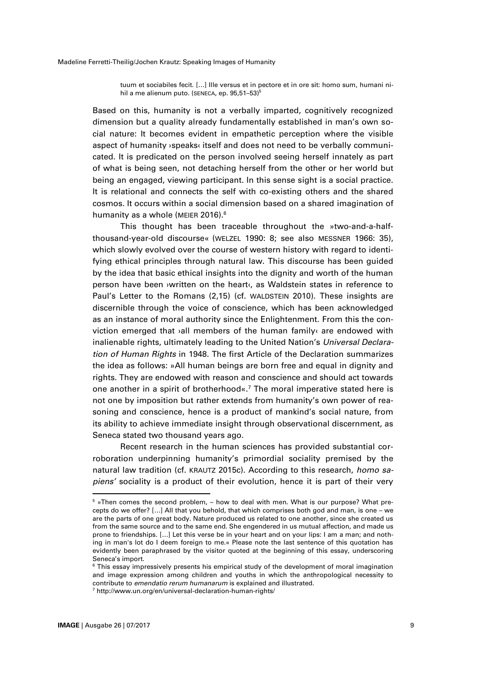tuum et sociabiles fecit. […] Ille versus et in pectore et in ore sit: homo sum, humani nihil a me alienum puto. (SENECA, ep. 95,51-53)<sup>5</sup>

Based on this, humanity is not a verbally imparted, cognitively recognized dimension but a quality already fundamentally established in man's own social nature: It becomes evident in empathetic perception where the visible aspect of humanity *speaks* itself and does not need to be verbally communicated. It is predicated on the person involved seeing herself innately as part of what is being seen, not detaching herself from the other or her world but being an engaged, viewing participant. In this sense sight is a social practice. It is relational and connects the self with co-existing others and the shared cosmos. It occurs within a social dimension based on a shared imagination of humanity as a whole (MEIER 2016). $^6$ 

This thought has been traceable throughout the »two-and-a-halfthousand-year-old discourse« (WELZEL 1990: 8; see also MESSNER 1966: 35), which slowly evolved over the course of western history with regard to identifying ethical principles through natural law. This discourse has been guided by the idea that basic ethical insights into the dignity and worth of the human person have been ›written on the heart‹, as Waldstein states in reference to Paul's Letter to the Romans (2,15) (cf. WALDSTEIN 2010). These insights are discernible through the voice of conscience, which has been acknowledged as an instance of moral authority since the Enlightenment. From this the conviction emerged that ›all members of the human family‹ are endowed with inalienable rights, ultimately leading to the United Nation's *Universal Declaration of Human Rights* in 1948. The first Article of the Declaration summarizes the idea as follows: »All human beings are born free and equal in dignity and rights. They are endowed with reason and conscience and should act towards one another in a spirit of brotherhood«. <sup>7</sup> The moral imperative stated here is not one by imposition but rather extends from humanity's own power of reasoning and conscience, hence is a product of mankind's social nature, from its ability to achieve immediate insight through observational discernment, as Seneca stated two thousand years ago.

Recent research in the human sciences has provided substantial corroboration underpinning humanity's primordial sociality premised by the natural law tradition (cf. KRAUTZ 2015c). According to this research, *homo sapiens'* sociality is a product of their evolution, hence it is part of their very

 $\overline{a}$ 

<sup>&</sup>lt;sup>5</sup> »Then comes the second problem, - how to deal with men. What is our purpose? What precepts do we offer? […] All that you behold, that which comprises both god and man, is one – we are the parts of one great body. Nature produced us related to one another, since she created us from the same source and to the same end. She engendered in us mutual affection, and made us prone to friendships. […] Let this verse be in your heart and on your lips: I am a man; and nothing in man's lot do I deem foreign to me.« Please note the last sentence of this quotation has evidently been paraphrased by the visitor quoted at the beginning of this essay, underscoring Seneca's import.

 $6$  This essay impressively presents his empirical study of the development of moral imagination and image expression among children and youths in which the anthropological necessity to contribute to *emendatio rerum humanarum* is explained and illustrated. <sup>7</sup> http://www.un.org/en/universal-declaration-human-rights/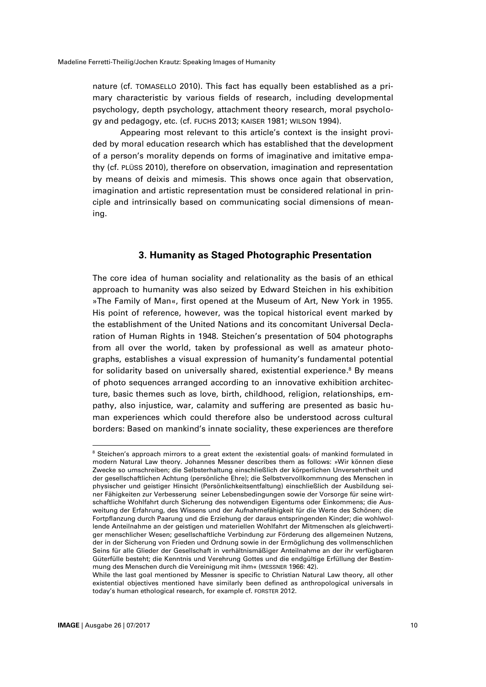nature (cf. TOMASELLO 2010). This fact has equally been established as a primary characteristic by various fields of research, including developmental psychology, depth psychology, attachment theory research, moral psychology and pedagogy, etc. (cf. FUCHS 2013; KAISER 1981; WILSON 1994).

Appearing most relevant to this article's context is the insight provided by moral education research which has established that the development of a person's morality depends on forms of imaginative and imitative empathy (cf. PLÜSS 2010), therefore on observation, imagination and representation by means of deixis and mimesis. This shows once again that observation, imagination and artistic representation must be considered relational in principle and intrinsically based on communicating social dimensions of meaning.

## **3. Humanity as Staged Photographic Presentation**

The core idea of human sociality and relationality as the basis of an ethical approach to humanity was also seized by Edward Steichen in his exhibition »The Family of Man«, first opened at the Museum of Art, New York in 1955. His point of reference, however, was the topical historical event marked by the establishment of the United Nations and its concomitant Universal Declaration of Human Rights in 1948. Steichen's presentation of 504 photographs from all over the world, taken by professional as well as amateur photographs, establishes a visual expression of humanity's fundamental potential for solidarity based on universally shared, existential experience. <sup>8</sup> By means of photo sequences arranged according to an innovative exhibition architecture, basic themes such as love, birth, childhood, religion, relationships, empathy, also injustice, war, calamity and suffering are presented as basic human experiences which could therefore also be understood across cultural borders: Based on mankind's innate sociality, these experiences are therefore

<sup>8</sup> Steichen's approach mirrors to a great extent the *vexistential goals* of mankind formulated in modern Natural Law theory. Johannes Messner describes them as follows: »Wir können diese Zwecke so umschreiben; die Selbsterhaltung einschließlich der körperlichen Unversehrtheit und der gesellschaftlichen Achtung (persönliche Ehre); die Selbstvervollkommnung des Menschen in physischer und geistiger Hinsicht (Persönlichkeitsentfaltung) einschließlich der Ausbildung seiner Fähigkeiten zur Verbesserung seiner Lebensbedingungen sowie der Vorsorge für seine wirtschaftliche Wohlfahrt durch Sicherung des notwendigen Eigentums oder Einkommens; die Ausweitung der Erfahrung, des Wissens und der Aufnahmefähigkeit für die Werte des Schönen; die Fortpflanzung durch Paarung und die Erziehung der daraus entspringenden Kinder; die wohlwollende Anteilnahme an der geistigen und materiellen Wohlfahrt der Mitmenschen als gleichwertiger menschlicher Wesen; gesellschaftliche Verbindung zur Förderung des allgemeinen Nutzens, der in der Sicherung von Frieden und Ordnung sowie in der Ermöglichung des vollmenschlichen Seins für alle Glieder der Gesellschaft in verhältnismäßiger Anteilnahme an der ihr verfügbaren Güterfülle besteht; die Kenntnis und Verehrung Gottes und die endgültige Erfüllung der Bestimmung des Menschen durch die Vereinigung mit ihm« (MESSNER 1966: 42).

While the last goal mentioned by Messner is specific to Christian Natural Law theory, all other existential objectives mentioned have similarly been defined as anthropological universals in today's human ethological research, for example cf. FORSTER 2012.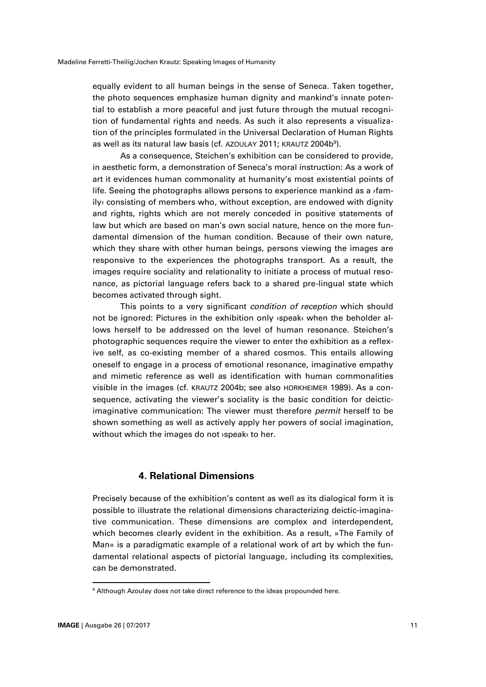equally evident to all human beings in the sense of Seneca. Taken together, the photo sequences emphasize human dignity and mankind's innate potential to establish a more peaceful and just future through the mutual recognition of fundamental rights and needs. As such it also represents a visualization of the principles formulated in the Universal Declaration of Human Rights as well as its natural law basis (cf. AZOULAY 2011; KRAUTZ 2004b $^{\rm 9}$ ).

As a consequence, Steichen's exhibition can be considered to provide, in aesthetic form, a demonstration of Seneca's moral instruction: As a work of art it evidences human commonality at humanity's most existential points of life. Seeing the photographs allows persons to experience mankind as a *i* amily‹ consisting of members who, without exception, are endowed with dignity and rights, rights which are not merely conceded in positive statements of law but which are based on man's own social nature, hence on the more fundamental dimension of the human condition. Because of their own nature, which they share with other human beings, persons viewing the images are responsive to the experiences the photographs transport. As a result, the images require sociality and relationality to initiate a process of mutual resonance, as pictorial language refers back to a shared pre-lingual state which becomes activated through sight.

This points to a very significant *condition of reception* which should not be ignored: Pictures in the exhibition only ›speak‹ when the beholder allows herself to be addressed on the level of human resonance. Steichen's photographic sequences require the viewer to enter the exhibition as a reflexive self, as co-existing member of a shared cosmos. This entails allowing oneself to engage in a process of emotional resonance, imaginative empathy and mimetic reference as well as identification with human commonalities visible in the images (cf. KRAUTZ 2004b; see also HORKHEIMER 1989). As a consequence, activating the viewer's sociality is the basic condition for deicticimaginative communication: The viewer must therefore *permit* herself to be shown something as well as actively apply her powers of social imagination, without which the images do not ›speak‹ to her.

### **4. Relational Dimensions**

Precisely because of the exhibition's content as well as its dialogical form it is possible to illustrate the relational dimensions characterizing deictic-imaginative communication. These dimensions are complex and interdependent, which becomes clearly evident in the exhibition. As a result, »The Family of Man« is a paradigmatic example of a relational work of art by which the fundamental relational aspects of pictorial language, including its complexities, can be demonstrated.

<sup>&</sup>lt;sup>9</sup> Although Azoulay does not take direct reference to the ideas propounded here.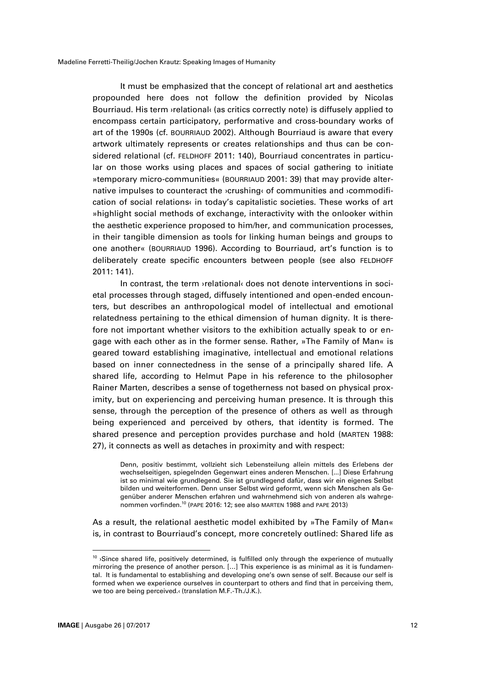It must be emphasized that the concept of relational art and aesthetics propounded here does not follow the definition provided by Nicolas Bourriaud. His term ›relational‹ (as critics correctly note) is diffusely applied to encompass certain participatory, performative and cross-boundary works of art of the 1990s (cf. BOURRIAUD 2002). Although Bourriaud is aware that every artwork ultimately represents or creates relationships and thus can be considered relational (cf. FELDHOFF 2011: 140), Bourriaud concentrates in particular on those works using places and spaces of social gathering to initiate »temporary micro-communities« (BOURRIAUD 2001: 39) that may provide alternative impulses to counteract the ›crushing‹ of communities and ›commodification of social relations« in today's capitalistic societies. These works of art »highlight social methods of exchange, interactivity with the onlooker within the aesthetic experience proposed to him/her, and communication processes, in their tangible dimension as tools for linking human beings and groups to one another« (BOURRIAUD 1996). According to Bourriaud, art's function is to deliberately create specific encounters between people (see also FELDHOFF 2011: 141).

In contrast, the term ›relational‹ does not denote interventions in societal processes through staged, diffusely intentioned and open-ended encounters, but describes an anthropological model of intellectual and emotional relatedness pertaining to the ethical dimension of human dignity. It is therefore not important whether visitors to the exhibition actually speak to or engage with each other as in the former sense. Rather, »The Family of Man« is geared toward establishing imaginative, intellectual and emotional relations based on inner connectedness in the sense of a principally shared life. A shared life, according to Helmut Pape in his reference to the philosopher Rainer Marten, describes a sense of togetherness not based on physical proximity, but on experiencing and perceiving human presence. It is through this sense, through the perception of the presence of others as well as through being experienced and perceived by others, that identity is formed. The shared presence and perception provides purchase and hold (MARTEN 1988: 27), it connects as well as detaches in proximity and with respect:

Denn, positiv bestimmt, vollzieht sich Lebensteilung allein mittels des Erlebens der wechselseitigen, spiegelnden Gegenwart eines anderen Menschen. [...] Diese Erfahrung ist so minimal wie grundlegend. Sie ist grundlegend dafür, dass wir ein eigenes Selbst bilden und weiterformen. Denn unser Selbst wird geformt, wenn sich Menschen als Gegenüber anderer Menschen erfahren und wahrnehmend sich von anderen als wahrgenommen vorfinden.<sup>10</sup> (PAPE 2016: 12; see also MARTEN 1988 and PAPE 2013)

As a result, the relational aesthetic model exhibited by »The Family of Man« is, in contrast to Bourriaud's concept, more concretely outlined: Shared life as

 $10$  >Since shared life, positively determined, is fulfilled only through the experience of mutually mirroring the presence of another person. […] This experience is as minimal as it is fundamental. It is fundamental to establishing and developing one's own sense of self. Because our self is formed when we experience ourselves in counterpart to others and find that in perceiving them, we too are being perceived.‹ (translation M.F.-Th./J.K.).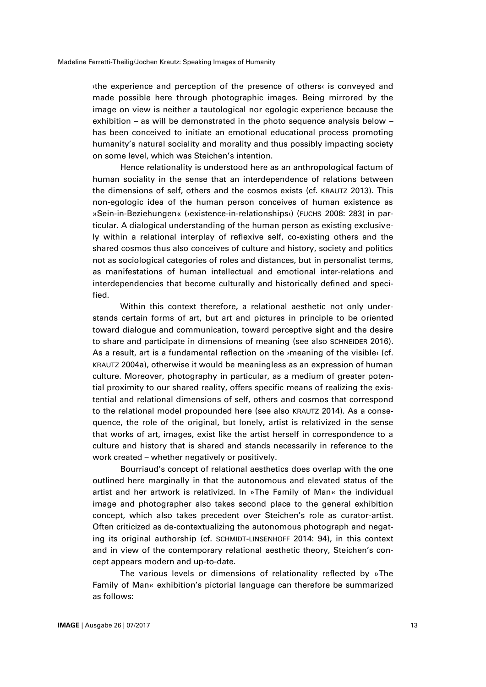›the experience and perception of the presence of others‹ is conveyed and made possible here through photographic images. Being mirrored by the image on view is neither a tautological nor egologic experience because the exhibition – as will be demonstrated in the photo sequence analysis below – has been conceived to initiate an emotional educational process promoting humanity's natural sociality and morality and thus possibly impacting society on some level, which was Steichen's intention.

Hence relationality is understood here as an anthropological factum of human sociality in the sense that an interdependence of relations between the dimensions of self, others and the cosmos exists (cf. KRAUTZ 2013). This non-egologic idea of the human person conceives of human existence as »Sein-in-Beziehungen« (›existence-in-relationships‹) (FUCHS 2008: 283) in particular. A dialogical understanding of the human person as existing exclusively within a relational interplay of reflexive self, co-existing others and the shared cosmos thus also conceives of culture and history, society and politics not as sociological categories of roles and distances, but in personalist terms, as manifestations of human intellectual and emotional inter-relations and interdependencies that become culturally and historically defined and specified.

Within this context therefore, a relational aesthetic not only understands certain forms of art, but art and pictures in principle to be oriented toward dialogue and communication, toward perceptive sight and the desire to share and participate in dimensions of meaning (see also SCHNEIDER 2016). As a result, art is a fundamental reflection on the *imeaning* of the visible (cf. KRAUTZ 2004a), otherwise it would be meaningless as an expression of human culture. Moreover, photography in particular, as a medium of greater potential proximity to our shared reality, offers specific means of realizing the existential and relational dimensions of self, others and cosmos that correspond to the relational model propounded here (see also KRAUTZ 2014). As a consequence, the role of the original, but lonely, artist is relativized in the sense that works of art, images, exist like the artist herself in correspondence to a culture and history that is shared and stands necessarily in reference to the work created – whether negatively or positively.

Bourriaud's concept of relational aesthetics does overlap with the one outlined here marginally in that the autonomous and elevated status of the artist and her artwork is relativized. In »The Family of Man« the individual image and photographer also takes second place to the general exhibition concept, which also takes precedent over Steichen's role as curator-artist. Often criticized as de-contextualizing the autonomous photograph and negating its original authorship (cf. SCHMIDT-LINSENHOFF 2014: 94), in this context and in view of the contemporary relational aesthetic theory, Steichen's concept appears modern and up-to-date.

The various levels or dimensions of relationality reflected by »The Family of Man« exhibition's pictorial language can therefore be summarized as follows: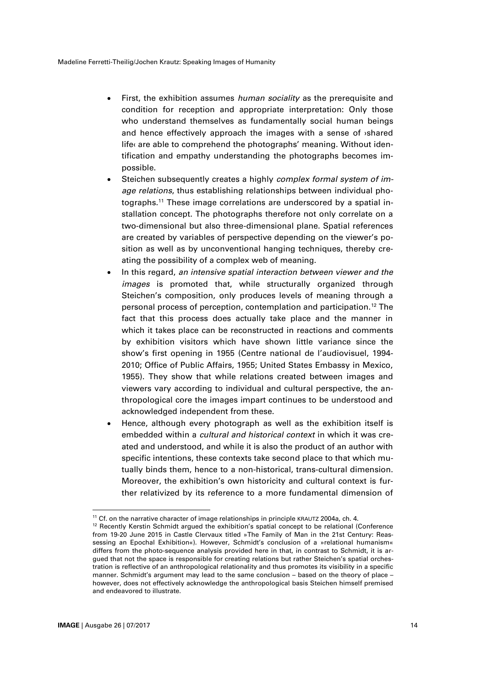- First, the exhibition assumes *human sociality* as the prerequisite and condition for reception and appropriate interpretation: Only those who understand themselves as fundamentally social human beings and hence effectively approach the images with a sense of ›shared life‹ are able to comprehend the photographs' meaning. Without identification and empathy understanding the photographs becomes impossible.
- Steichen subsequently creates a highly *complex formal system of image relations*, thus establishing relationships between individual photographs. <sup>11</sup> These image correlations are underscored by a spatial installation concept. The photographs therefore not only correlate on a two-dimensional but also three-dimensional plane. Spatial references are created by variables of perspective depending on the viewer's position as well as by unconventional hanging techniques, thereby creating the possibility of a complex web of meaning.
- In this regard, *an intensive spatial interaction between viewer and the images* is promoted that, while structurally organized through Steichen's composition, only produces levels of meaning through a personal process of perception, contemplation and participation.<sup>12</sup> The fact that this process does actually take place and the manner in which it takes place can be reconstructed in reactions and comments by exhibition visitors which have shown little variance since the show's first opening in 1955 (Centre national de l'audiovisuel, 1994- 2010; Office of Public Affairs, 1955; United States Embassy in Mexico, 1955). They show that while relations created between images and viewers vary according to individual and cultural perspective, the anthropological core the images impart continues to be understood and acknowledged independent from these.
- Hence, although every photograph as well as the exhibition itself is embedded within a *cultural and historical context* in which it was created and understood, and while it is also the product of an author with specific intentions, these contexts take second place to that which mutually binds them, hence to a non-historical, trans-cultural dimension. Moreover, the exhibition's own historicity and cultural context is further relativized by its reference to a more fundamental dimension of

 $^{11}$  Cf. on the narrative character of image relationships in principle KRAUTZ 2004a, ch. 4.

<sup>&</sup>lt;sup>12</sup> Recently Kerstin Schmidt argued the exhibition's spatial concept to be relational (Conference from 19-20 June 2015 in Castle Clervaux titled »The Family of Man in the 21st Century: Reassessing an Epochal Exhibition«). However, Schmidt's conclusion of a »relational humanism« differs from the photo-sequence analysis provided here in that, in contrast to Schmidt, it is argued that not the space is responsible for creating relations but rather Steichen's spatial orchestration is reflective of an anthropological relationality and thus promotes its visibility in a specific manner. Schmidt's argument may lead to the same conclusion – based on the theory of place – however, does not effectively acknowledge the anthropological basis Steichen himself premised and endeavored to illustrate.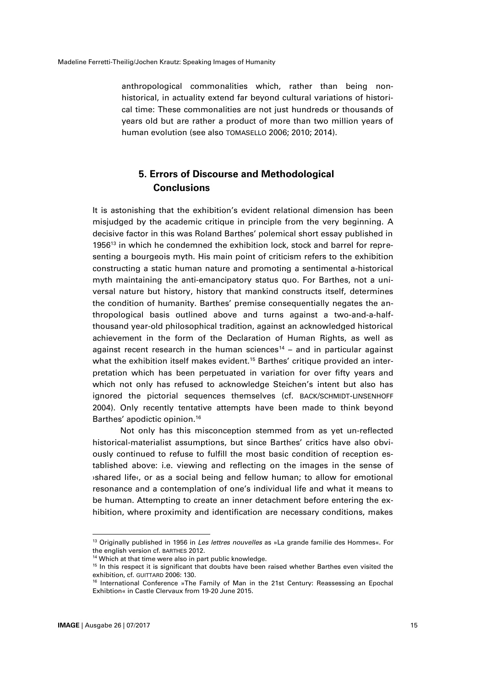anthropological commonalities which, rather than being nonhistorical, in actuality extend far beyond cultural variations of historical time: These commonalities are not just hundreds or thousands of years old but are rather a product of more than two million years of human evolution (see also TOMASELLO 2006; 2010; 2014).

## **5. Errors of Discourse and Methodological Conclusions**

It is astonishing that the exhibition's evident relational dimension has been misjudged by the academic critique in principle from the very beginning. A decisive factor in this was Roland Barthes' polemical short essay published in 1956 <sup>13</sup> in which he condemned the exhibition lock, stock and barrel for representing a bourgeois myth. His main point of criticism refers to the exhibition constructing a static human nature and promoting a sentimental a-historical myth maintaining the anti-emancipatory status quo. For Barthes, not a universal nature but history, history that mankind constructs itself, determines the condition of humanity. Barthes' premise consequentially negates the anthropological basis outlined above and turns against a two-and-a-halfthousand year-old philosophical tradition, against an acknowledged historical achievement in the form of the Declaration of Human Rights, as well as against recent research in the human sciences<sup>14</sup> – and in particular against what the exhibition itself makes evident. <sup>15</sup> Barthes' critique provided an interpretation which has been perpetuated in variation for over fifty years and which not only has refused to acknowledge Steichen's intent but also has ignored the pictorial sequences themselves (cf. BACK/SCHMIDT-LINSENHOFF 2004). Only recently tentative attempts have been made to think beyond Barthes' apodictic opinion.<sup>16</sup>

Not only has this misconception stemmed from as yet un-reflected historical-materialist assumptions, but since Barthes' critics have also obviously continued to refuse to fulfill the most basic condition of reception established above: i.e. viewing and reflecting on the images in the sense of ›shared life‹, or as a social being and fellow human; to allow for emotional resonance and a contemplation of one's individual life and what it means to be human. Attempting to create an inner detachment before entering the exhibition, where proximity and identification are necessary conditions, makes

 $\overline{a}$ 

<sup>13</sup> Originally published in 1956 in *Les lettres nouvelles* as »La grande familie des Hommes«. For the english version cf. BARTHES 2012.

<sup>&</sup>lt;sup>14</sup> Which at that time were also in part public knowledge.

<sup>&</sup>lt;sup>15</sup> In this respect it is significant that doubts have been raised whether Barthes even visited the exhibition, cf. GUITTARD 2006: 130.

<sup>&</sup>lt;sup>16</sup> International Conference »The Family of Man in the 21st Century: Reassessing an Epochal Exhibtion« in Castle Clervaux from 19-20 June 2015.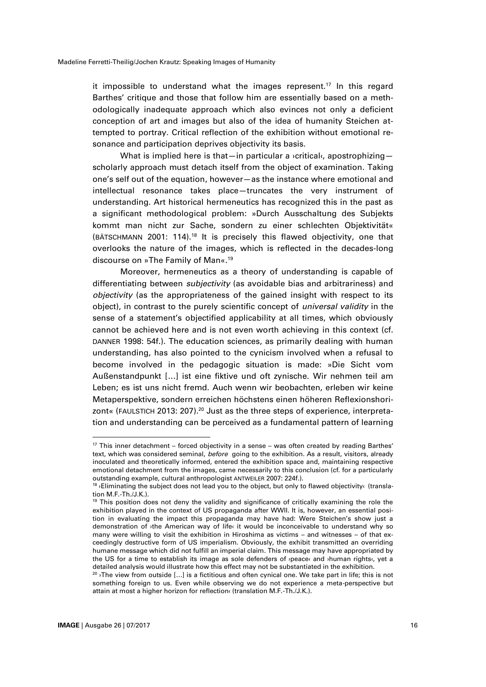it impossible to understand what the images represent. <sup>17</sup> In this regard Barthes' critique and those that follow him are essentially based on a methodologically inadequate approach which also evinces not only a deficient conception of art and images but also of the idea of humanity Steichen attempted to portray. Critical reflection of the exhibition without emotional resonance and participation deprives objectivity its basis.

What is implied here is that—in particular a *v*critical $\epsilon$ , apostrophizing scholarly approach must detach itself from the object of examination. Taking one's self out of the equation, however—as the instance where emotional and intellectual resonance takes place—truncates the very instrument of understanding. Art historical hermeneutics has recognized this in the past as a significant methodological problem: »Durch Ausschaltung des Subjekts kommt man nicht zur Sache, sondern zu einer schlechten Objektivität« (BÄTSCHMANN 2001: 114).<sup>18</sup> It is precisely this flawed objectivity, one that overlooks the nature of the images, which is reflected in the decades-long discourse on »The Family of Man«. 19

Moreover, hermeneutics as a theory of understanding is capable of differentiating between *subjectivity* (as avoidable bias and arbitrariness) and *objectivity* (as the appropriateness of the gained insight with respect to its object), in contrast to the purely scientific concept of *universal validity* in the sense of a statement's objectified applicability at all times, which obviously cannot be achieved here and is not even worth achieving in this context (cf. DANNER 1998: 54f.). The education sciences, as primarily dealing with human understanding, has also pointed to the cynicism involved when a refusal to become involved in the pedagogic situation is made: »Die Sicht vom Außenstandpunkt […] ist eine fiktive und oft zynische. Wir nehmen teil am Leben; es ist uns nicht fremd. Auch wenn wir beobachten, erleben wir keine Metaperspektive, sondern erreichen höchstens einen höheren Reflexionshorizont« (FAULSTICH 2013: 207).<sup>20</sup> Just as the three steps of experience, interpretation and understanding can be perceived as a fundamental pattern of learning

l

 $17$  This inner detachment – forced objectivity in a sense – was often created by reading Barthes' text, which was considered seminal, *before* going to the exhibition. As a result, visitors, already inoculated and theoretically informed, entered the exhibition space and, maintaining respective emotional detachment from the images, came necessarily to this conclusion (cf. for a particularly outstanding example, cultural anthropologist ANTWEILER 2007: 224f.).

<sup>18 ›</sup>Eliminating the subject does not lead you to the object, but only to flawed objectivity‹ (translation M.F.-Th./J.K.).

<sup>&</sup>lt;sup>19</sup> This position does not deny the validity and significance of critically examining the role the exhibition played in the context of US propaganda after WWII. It is, however, an essential position in evaluating the impact this propaganda may have had: Were Steichen's show just a demonstration of ›the American way of life‹ it would be inconceivable to understand why so many were willing to visit the exhibition in Hiroshima as victims – and witnesses – of that exceedingly destructive form of US imperialism. Obviously, the exhibit transmitted an overriding humane message which did not fulfill an imperial claim. This message may have appropriated by the US for a time to establish its image as sole defenders of ›peace‹ and ›human rights‹, yet a detailed analysis would illustrate how this effect may not be substantiated in the exhibition.

<sup>&</sup>lt;sup>20</sup>  $\sqrt{1}$  The view from outside [...] is a fictitious and often cynical one. We take part in life; this is not something foreign to us. Even while observing we do not experience a meta-perspective but attain at most a higher horizon for reflection‹ (translation M.F.-Th./J.K.).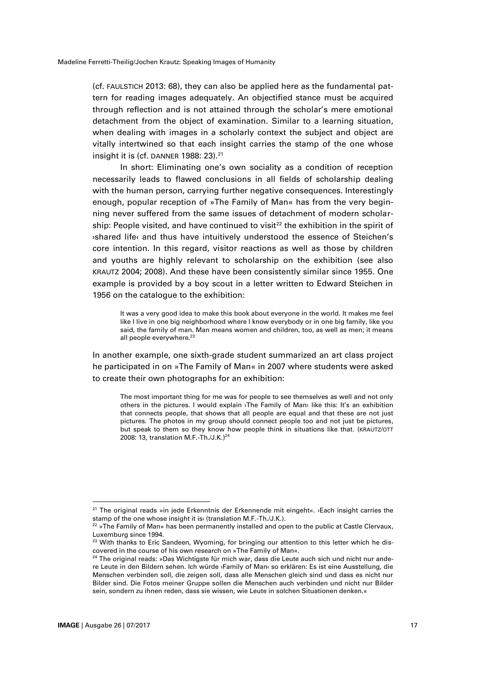(cf. FAULSTICH 2013: 68), they can also be applied here as the fundamental pattern for reading images adequately. An objectified stance must be acquired through reflection and is not attained through the scholar's mere emotional detachment from the object of examination. Similar to a learning situation, when dealing with images in a scholarly context the subject and object are vitally intertwined so that each insight carries the stamp of the one whose insight it is (cf. DANNER 1988: 23). 21

In short: Eliminating one's own sociality as a condition of reception necessarily leads to flawed conclusions in all fields of scholarship dealing with the human person, carrying further negative consequences. Interestingly enough, popular reception of »The Family of Man« has from the very beginning never suffered from the same issues of detachment of modern scholarship: People visited, and have continued to visit<sup>22</sup> the exhibition in the spirit of ›shared life‹ and thus have intuitively understood the essence of Steichen's core intention. In this regard, visitor reactions as well as those by children and youths are highly relevant to scholarship on the exhibition (see also KRAUTZ 2004; 2008). And these have been consistently similar since 1955. One example is provided by a boy scout in a letter written to Edward Steichen in 1956 on the catalogue to the exhibition:

It was a very good idea to make this book about everyone in the world. It makes me feel like I live in one big neighborhood where I know everybody or in one big family, like you said, the family of man. Man means women and children, too, as well as men; it means all people everywhere.<sup>23</sup>

In another example, one sixth-grade student summarized an art class project he participated in on »The Family of Man« in 2007 where students were asked to create their own photographs for an exhibition:

The most important thing for me was for people to see themselves as well and not only others in the pictures. I would explain ›The Family of Man‹ like this: It's an exhibition that connects people, that shows that all people are equal and that these are not just pictures. The photos in my group should connect people too and not just be pictures, but speak to them so they know how people think in situations like that. (KRAUTZ/OTT 2008: 13, translation M.F.-Th./J.K.) 24

<sup>&</sup>lt;sup>21</sup> The original reads »in jede Erkenntnis der Erkennende mit eingeht«. ›Each insight carries the stamp of the one whose insight it is‹ (translation M.F.-Th./J.K.).

 $^{22}$  »The Family of Man« has been permanently installed and open to the public at Castle Clervaux, Luxemburg since 1994.

<sup>&</sup>lt;sup>23</sup> With thanks to Eric Sandeen, Wyoming, for bringing our attention to this letter which he discovered in the course of his own research on »The Family of Man«.

<sup>&</sup>lt;sup>24</sup> The original reads: »Das Wichtigste für mich war, dass die Leute auch sich und nicht nur andere Leute in den Bildern sehen. Ich würde ›Family of Man‹ so erklären: Es ist eine Ausstellung, die Menschen verbinden soll, die zeigen soll, dass alle Menschen gleich sind und dass es nicht nur Bilder sind. Die Fotos meiner Gruppe sollen die Menschen auch verbinden und nicht nur Bilder sein, sondern zu ihnen reden, dass sie wissen, wie Leute in solchen Situationen denken.«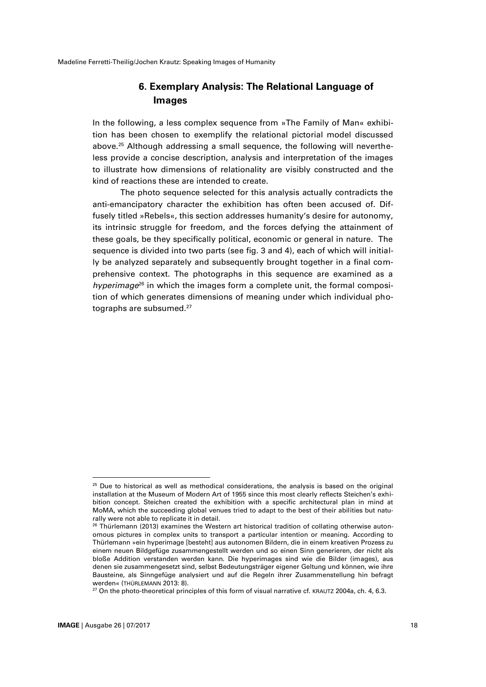## **6. Exemplary Analysis: The Relational Language of Images**

In the following, a less complex sequence from »The Family of Man« exhibition has been chosen to exemplify the relational pictorial model discussed above.<sup>25</sup> Although addressing a small sequence, the following will nevertheless provide a concise description, analysis and interpretation of the images to illustrate how dimensions of relationality are visibly constructed and the kind of reactions these are intended to create.

The photo sequence selected for this analysis actually contradicts the anti-emancipatory character the exhibition has often been accused of. Diffusely titled »Rebels«, this section addresses humanity's desire for autonomy, its intrinsic struggle for freedom, and the forces defying the attainment of these goals, be they specifically political, economic or general in nature. The sequence is divided into two parts (see fig. 3 and 4), each of which will initially be analyzed separately and subsequently brought together in a final comprehensive context. The photographs in this sequence are examined as a *hyperimage*<sup>26</sup> in which the images form a complete unit, the formal composition of which generates dimensions of meaning under which individual photographs are subsumed.<sup>27</sup>

 $\overline{a}$ 

 $25$  Due to historical as well as methodical considerations, the analysis is based on the original installation at the Museum of Modern Art of 1955 since this most clearly reflects Steichen's exhibition concept. Steichen created the exhibition with a specific architectural plan in mind at MoMA, which the succeeding global venues tried to adapt to the best of their abilities but naturally were not able to replicate it in detail.

 $26$  Thürlemann (2013) examines the Western art historical tradition of collating otherwise autonomous pictures in complex units to transport a particular intention or meaning. According to Thürlemann »ein hyperimage [besteht] aus autonomen Bildern, die in einem kreativen Prozess zu einem neuen Bildgefüge zusammengestellt werden und so einen Sinn generieren, der nicht als bloße Addition verstanden werden kann. Die hyperimages sind wie die Bilder (images), aus denen sie zusammengesetzt sind, selbst Bedeutungsträger eigener Geltung und können, wie ihre Bausteine, als Sinngefüge analysiert und auf die Regeln ihrer Zusammenstellung hin befragt werden« (THÜRLEMANN 2013: 8).

 $27$  On the photo-theoretical principles of this form of visual narrative cf. KRAUTZ 2004a, ch. 4, 6.3.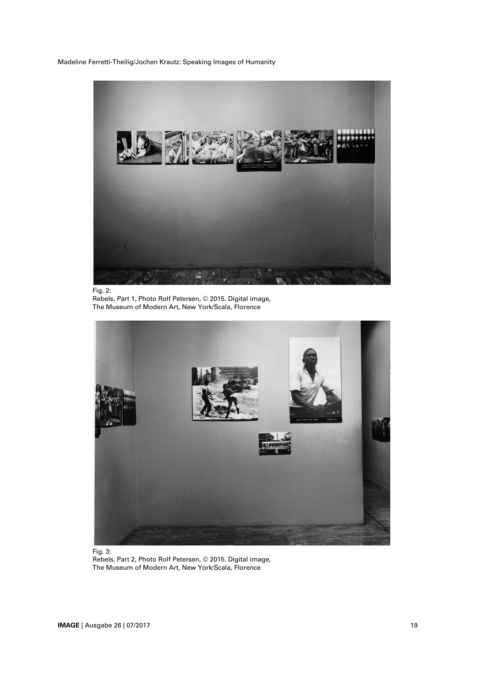

Fig. 2: Rebels, Part 1, Photo Rolf Petersen, © 2015. Digital image, The Museum of Modern Art, New York/Scala, Florence



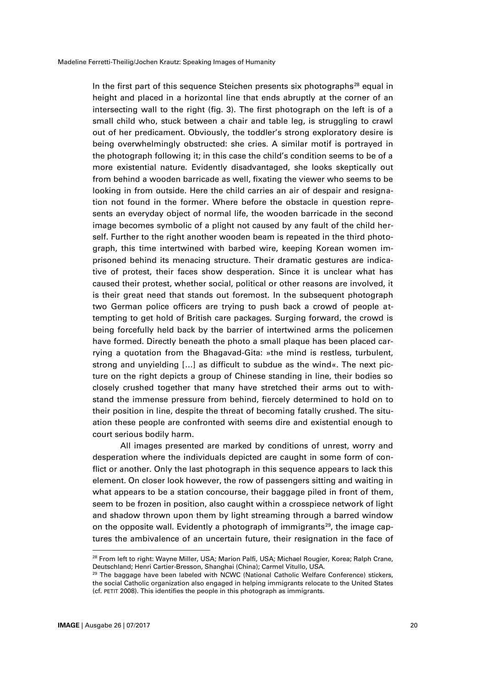In the first part of this sequence Steichen presents six photographs<sup>28</sup> equal in height and placed in a horizontal line that ends abruptly at the corner of an intersecting wall to the right (fig. 3). The first photograph on the left is of a small child who, stuck between a chair and table leg, is struggling to crawl out of her predicament. Obviously, the toddler's strong exploratory desire is being overwhelmingly obstructed: she cries. A similar motif is portrayed in the photograph following it; in this case the child's condition seems to be of a more existential nature. Evidently disadvantaged, she looks skeptically out from behind a wooden barricade as well, fixating the viewer who seems to be looking in from outside. Here the child carries an air of despair and resignation not found in the former. Where before the obstacle in question represents an everyday object of normal life, the wooden barricade in the second image becomes symbolic of a plight not caused by any fault of the child herself. Further to the right another wooden beam is repeated in the third photograph, this time intertwined with barbed wire, keeping Korean women imprisoned behind its menacing structure. Their dramatic gestures are indicative of protest, their faces show desperation. Since it is unclear what has caused their protest, whether social, political or other reasons are involved, it is their great need that stands out foremost. In the subsequent photograph two German police officers are trying to push back a crowd of people attempting to get hold of British care packages. Surging forward, the crowd is being forcefully held back by the barrier of intertwined arms the policemen have formed. Directly beneath the photo a small plaque has been placed carrying a quotation from the Bhagavad-Gita: »the mind is restless, turbulent, strong and unyielding […] as difficult to subdue as the wind«. The next picture on the right depicts a group of Chinese standing in line, their bodies so closely crushed together that many have stretched their arms out to withstand the immense pressure from behind, fiercely determined to hold on to their position in line, despite the threat of becoming fatally crushed. The situation these people are confronted with seems dire and existential enough to court serious bodily harm.

All images presented are marked by conditions of unrest, worry and desperation where the individuals depicted are caught in some form of conflict or another. Only the last photograph in this sequence appears to lack this element. On closer look however, the row of passengers sitting and waiting in what appears to be a station concourse, their baggage piled in front of them, seem to be frozen in position, also caught within a crosspiece network of light and shadow thrown upon them by light streaming through a barred window on the opposite wall. Evidently a photograph of immigrants<sup>29</sup>, the image captures the ambivalence of an uncertain future, their resignation in the face of

<sup>&</sup>lt;sup>28</sup> From left to right: Wayne Miller, USA; Marion Palfi, USA; Michael Rougier, Korea; Ralph Crane, Deutschland; Henri Cartier-Bresson, Shanghai (China); Carmel Vitullo, USA.

 $29$  The baggage have been labeled with NCWC (National Catholic Welfare Conference) stickers, the social Catholic organization also engaged in helping immigrants relocate to the United States (cf. PETIT 2008). This identifies the people in this photograph as immigrants.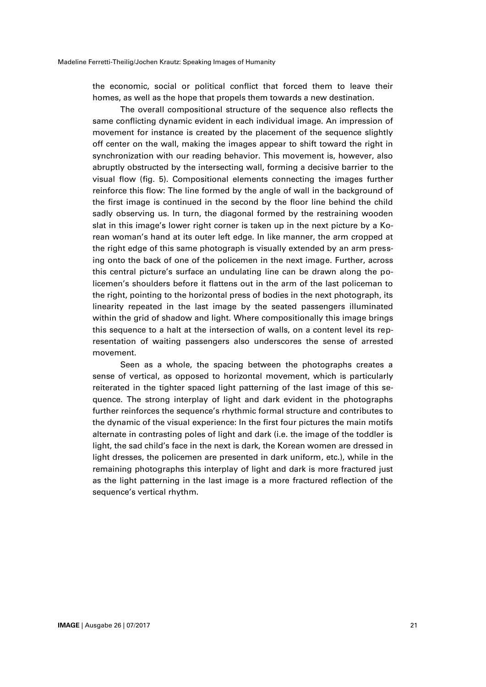the economic, social or political conflict that forced them to leave their homes, as well as the hope that propels them towards a new destination.

The overall compositional structure of the sequence also reflects the same conflicting dynamic evident in each individual image. An impression of movement for instance is created by the placement of the sequence slightly off center on the wall, making the images appear to shift toward the right in synchronization with our reading behavior. This movement is, however, also abruptly obstructed by the intersecting wall, forming a decisive barrier to the visual flow (fig. 5). Compositional elements connecting the images further reinforce this flow: The line formed by the angle of wall in the background of the first image is continued in the second by the floor line behind the child sadly observing us. In turn, the diagonal formed by the restraining wooden slat in this image's lower right corner is taken up in the next picture by a Korean woman's hand at its outer left edge. In like manner, the arm cropped at the right edge of this same photograph is visually extended by an arm pressing onto the back of one of the policemen in the next image. Further, across this central picture's surface an undulating line can be drawn along the policemen's shoulders before it flattens out in the arm of the last policeman to the right, pointing to the horizontal press of bodies in the next photograph, its linearity repeated in the last image by the seated passengers illuminated within the grid of shadow and light. Where compositionally this image brings this sequence to a halt at the intersection of walls, on a content level its representation of waiting passengers also underscores the sense of arrested movement.

Seen as a whole, the spacing between the photographs creates a sense of vertical, as opposed to horizontal movement, which is particularly reiterated in the tighter spaced light patterning of the last image of this sequence. The strong interplay of light and dark evident in the photographs further reinforces the sequence's rhythmic formal structure and contributes to the dynamic of the visual experience: In the first four pictures the main motifs alternate in contrasting poles of light and dark (i.e. the image of the toddler is light, the sad child's face in the next is dark, the Korean women are dressed in light dresses, the policemen are presented in dark uniform, etc.), while in the remaining photographs this interplay of light and dark is more fractured just as the light patterning in the last image is a more fractured reflection of the sequence's vertical rhythm.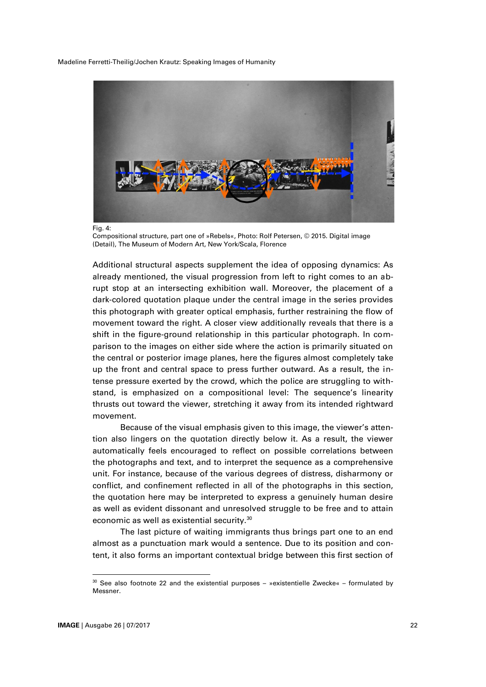

Fig. 4:

Compositional structure, part one of »Rebels«, Photo: Rolf Petersen, © 2015. Digital image (Detail), The Museum of Modern Art, New York/Scala, Florence

Additional structural aspects supplement the idea of opposing dynamics: As already mentioned, the visual progression from left to right comes to an abrupt stop at an intersecting exhibition wall. Moreover, the placement of a dark-colored quotation plaque under the central image in the series provides this photograph with greater optical emphasis, further restraining the flow of movement toward the right. A closer view additionally reveals that there is a shift in the figure-ground relationship in this particular photograph. In comparison to the images on either side where the action is primarily situated on the central or posterior image planes, here the figures almost completely take up the front and central space to press further outward. As a result, the intense pressure exerted by the crowd, which the police are struggling to withstand, is emphasized on a compositional level: The sequence's linearity thrusts out toward the viewer, stretching it away from its intended rightward movement.

Because of the visual emphasis given to this image, the viewer's attention also lingers on the quotation directly below it. As a result, the viewer automatically feels encouraged to reflect on possible correlations between the photographs and text, and to interpret the sequence as a comprehensive unit. For instance, because of the various degrees of distress, disharmony or conflict, and confinement reflected in all of the photographs in this section, the quotation here may be interpreted to express a genuinely human desire as well as evident dissonant and unresolved struggle to be free and to attain economic as well as existential security.<sup>30</sup>

The last picture of waiting immigrants thus brings part one to an end almost as a punctuation mark would a sentence. Due to its position and content, it also forms an important contextual bridge between this first section of

 $30$  See also footnote 22 and the existential purposes – »existentielle Zwecke« – formulated by Messner.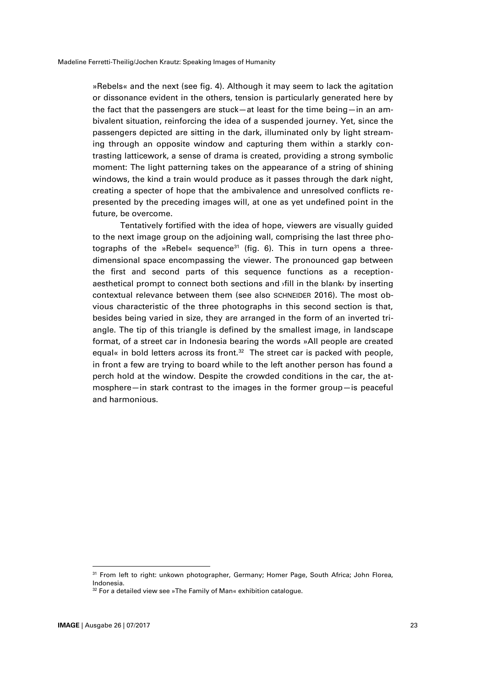»Rebels« and the next (see fig. 4). Although it may seem to lack the agitation or dissonance evident in the others, tension is particularly generated here by the fact that the passengers are stuck—at least for the time being—in an ambivalent situation, reinforcing the idea of a suspended journey. Yet, since the passengers depicted are sitting in the dark, illuminated only by light streaming through an opposite window and capturing them within a starkly contrasting latticework, a sense of drama is created, providing a strong symbolic moment: The light patterning takes on the appearance of a string of shining windows, the kind a train would produce as it passes through the dark night, creating a specter of hope that the ambivalence and unresolved conflicts represented by the preceding images will, at one as yet undefined point in the future, be overcome.

Tentatively fortified with the idea of hope, viewers are visually guided to the next image group on the adjoining wall, comprising the last three photographs of the »Rebel« sequence<sup>31</sup> (fig. 6). This in turn opens a threedimensional space encompassing the viewer. The pronounced gap between the first and second parts of this sequence functions as a receptionaesthetical prompt to connect both sections and ›fill in the blank‹ by inserting contextual relevance between them (see also SCHNEIDER 2016). The most obvious characteristic of the three photographs in this second section is that, besides being varied in size, they are arranged in the form of an inverted triangle. The tip of this triangle is defined by the smallest image, in landscape format, of a street car in Indonesia bearing the words »All people are created equal« in bold letters across its front.<sup>32</sup> The street car is packed with people, in front a few are trying to board while to the left another person has found a perch hold at the window. Despite the crowded conditions in the car, the atmosphere—in stark contrast to the images in the former group—is peaceful and harmonious.

<sup>&</sup>lt;sup>31</sup> From left to right: unkown photographer, Germany; Homer Page, South Africa; John Florea, Indonesia.

 $32$  For a detailed view see »The Family of Man« exhibition catalogue.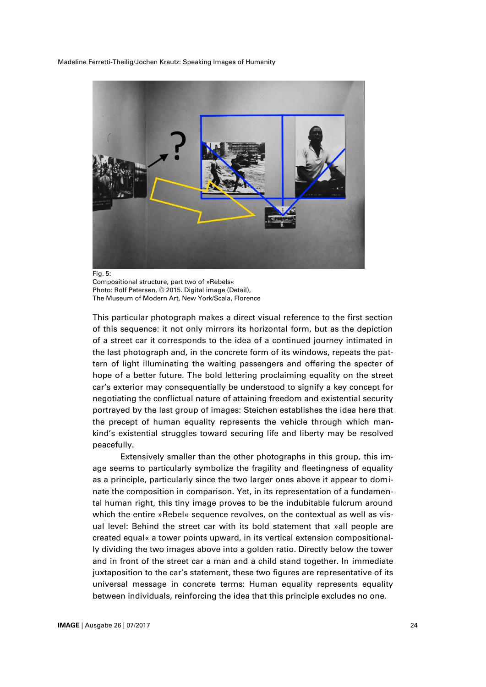

Compositional structure, part two of »Rebels« Photo: Rolf Petersen, © 2015. Digital image (Detail), The Museum of Modern Art, New York/Scala, Florence

This particular photograph makes a direct visual reference to the first section of this sequence: it not only mirrors its horizontal form, but as the depiction of a street car it corresponds to the idea of a continued journey intimated in the last photograph and, in the concrete form of its windows, repeats the pattern of light illuminating the waiting passengers and offering the specter of hope of a better future. The bold lettering proclaiming equality on the street car's exterior may consequentially be understood to signify a key concept for negotiating the conflictual nature of attaining freedom and existential security portrayed by the last group of images: Steichen establishes the idea here that the precept of human equality represents the vehicle through which mankind's existential struggles toward securing life and liberty may be resolved peacefully.

Extensively smaller than the other photographs in this group, this image seems to particularly symbolize the fragility and fleetingness of equality as a principle, particularly since the two larger ones above it appear to dominate the composition in comparison. Yet, in its representation of a fundamental human right, this tiny image proves to be the indubitable fulcrum around which the entire »Rebel« sequence revolves, on the contextual as well as visual level: Behind the street car with its bold statement that »all people are created equal« a tower points upward, in its vertical extension compositionally dividing the two images above into a golden ratio. Directly below the tower and in front of the street car a man and a child stand together. In immediate juxtaposition to the car's statement, these two figures are representative of its universal message in concrete terms: Human equality represents equality between individuals, reinforcing the idea that this principle excludes no one.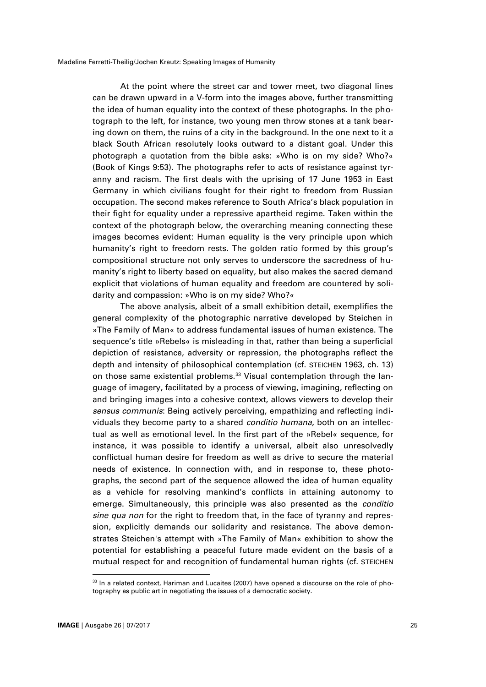At the point where the street car and tower meet, two diagonal lines can be drawn upward in a V-form into the images above, further transmitting the idea of human equality into the context of these photographs. In the photograph to the left, for instance, two young men throw stones at a tank bearing down on them, the ruins of a city in the background. In the one next to it a black South African resolutely looks outward to a distant goal. Under this photograph a quotation from the bible asks: »Who is on my side? Who?« (Book of Kings 9:53). The photographs refer to acts of resistance against tyranny and racism. The first deals with the uprising of 17 June 1953 in East Germany in which civilians fought for their right to freedom from Russian occupation. The second makes reference to South Africa's black population in their fight for equality under a repressive apartheid regime. Taken within the context of the photograph below, the overarching meaning connecting these images becomes evident: Human equality is the very principle upon which humanity's right to freedom rests. The golden ratio formed by this group's compositional structure not only serves to underscore the sacredness of humanity's right to liberty based on equality, but also makes the sacred demand explicit that violations of human equality and freedom are countered by solidarity and compassion: »Who is on my side? Who?«

The above analysis, albeit of a small exhibition detail, exemplifies the general complexity of the photographic narrative developed by Steichen in »The Family of Man« to address fundamental issues of human existence. The sequence's title »Rebels« is misleading in that, rather than being a superficial depiction of resistance, adversity or repression, the photographs reflect the depth and intensity of philosophical contemplation (cf. STEICHEN 1963, ch. 13) on those same existential problems.<sup>33</sup> Visual contemplation through the language of imagery, facilitated by a process of viewing, imagining, reflecting on and bringing images into a cohesive context, allows viewers to develop their *sensus communis*: Being actively perceiving, empathizing and reflecting individuals they become party to a shared *conditio humana*, both on an intellectual as well as emotional level. In the first part of the »Rebel« sequence, for instance, it was possible to identify a universal, albeit also unresolvedly conflictual human desire for freedom as well as drive to secure the material needs of existence. In connection with, and in response to, these photographs, the second part of the sequence allowed the idea of human equality as a vehicle for resolving mankind's conflicts in attaining autonomy to emerge. Simultaneously, this principle was also presented as the *conditio sine qua non* for the right to freedom that, in the face of tyranny and repression, explicitly demands our solidarity and resistance. The above demonstrates Steichen's attempt with »The Family of Man« exhibition to show the potential for establishing a peaceful future made evident on the basis of a mutual respect for and recognition of fundamental human rights (cf. STEICHEN

 $33$  In a related context, Hariman and Lucaites (2007) have opened a discourse on the role of photography as public art in negotiating the issues of a democratic society.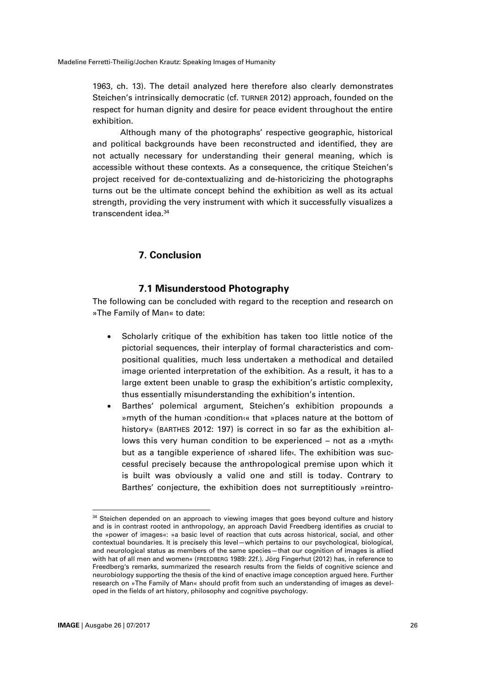1963, ch. 13). The detail analyzed here therefore also clearly demonstrates Steichen's intrinsically democratic (cf. TURNER 2012) approach, founded on the respect for human dignity and desire for peace evident throughout the entire exhibition.

Although many of the photographs' respective geographic, historical and political backgrounds have been reconstructed and identified, they are not actually necessary for understanding their general meaning, which is accessible without these contexts. As a consequence, the critique Steichen's project received for de-contextualizing and de-historicizing the photographs turns out be the ultimate concept behind the exhibition as well as its actual strength, providing the very instrument with which it successfully visualizes a transcendent idea.<sup>34</sup>

## **7. Conclusion**

## **7.1 Misunderstood Photography**

The following can be concluded with regard to the reception and research on »The Family of Man« to date:

- Scholarly critique of the exhibition has taken too little notice of the pictorial sequences, their interplay of formal characteristics and compositional qualities, much less undertaken a methodical and detailed image oriented interpretation of the exhibition. As a result, it has to a large extent been unable to grasp the exhibition's artistic complexity, thus essentially misunderstanding the exhibition's intention.
- Barthes' polemical argument, Steichen's exhibition propounds a »myth of the human ›condition‹« that »places nature at the bottom of history« (BARTHES 2012: 197) is correct in so far as the exhibition allows this very human condition to be experienced – not as a >myth‹ but as a tangible experience of **>shared life** The exhibition was successful precisely because the anthropological premise upon which it is built was obviously a valid one and still is today. Contrary to Barthes' conjecture, the exhibition does not surreptitiously »reintro-

<sup>&</sup>lt;sup>34</sup> Steichen depended on an approach to viewing images that goes beyond culture and history and is in contrast rooted in anthropology, an approach David Freedberg identifies as crucial to the »power of images«: »a basic level of reaction that cuts across historical, social, and other contextual boundaries. It is precisely this level—which pertains to our psychological, biological, and neurological status as members of the same species—that our cognition of images is allied with hat of all men and women« (FREEDBERG 1989: 22f.). Jörg Fingerhut (2012) has, in reference to Freedberg's remarks, summarized the research results from the fields of cognitive science and neurobiology supporting the thesis of the kind of enactive image conception argued here. Further research on »The Family of Man« should profit from such an understanding of images as developed in the fields of art history, philosophy and cognitive psychology.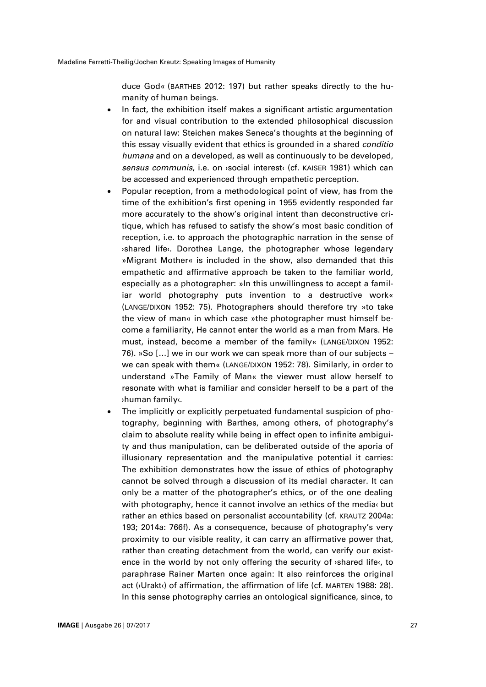duce God« (BARTHES 2012: 197) but rather speaks directly to the humanity of human beings.

- In fact, the exhibition itself makes a significant artistic argumentation for and visual contribution to the extended philosophical discussion on natural law: Steichen makes Seneca's thoughts at the beginning of this essay visually evident that ethics is grounded in a shared *conditio humana* and on a developed, as well as continuously to be developed, *sensus communis*, i.e. on ›social interest‹ (cf. KAISER 1981) which can be accessed and experienced through empathetic perception.
- Popular reception, from a methodological point of view, has from the time of the exhibition's first opening in 1955 evidently responded far more accurately to the show's original intent than deconstructive critique, which has refused to satisfy the show's most basic condition of reception, i.e. to approach the photographic narration in the sense of ›shared life‹. Dorothea Lange, the photographer whose legendary »Migrant Mother« is included in the show, also demanded that this empathetic and affirmative approach be taken to the familiar world, especially as a photographer: »In this unwillingness to accept a familiar world photography puts invention to a destructive work« (LANGE/DIXON 1952: 75). Photographers should therefore try »to take the view of man« in which case »the photographer must himself become a familiarity, He cannot enter the world as a man from Mars. He must, instead, become a member of the family« (LANGE/DIXON 1952: 76). »So […] we in our work we can speak more than of our subjects – we can speak with them« (LANGE/DIXON 1952: 78). Similarly, in order to understand »The Family of Man« the viewer must allow herself to resonate with what is familiar and consider herself to be a part of the ›human family‹.
- The implicitly or explicitly perpetuated fundamental suspicion of photography, beginning with Barthes, among others, of photography's claim to absolute reality while being in effect open to infinite ambiguity and thus manipulation, can be deliberated outside of the aporia of illusionary representation and the manipulative potential it carries: The exhibition demonstrates how the issue of ethics of photography cannot be solved through a discussion of its medial character. It can only be a matter of the photographer's ethics, or of the one dealing with photography, hence it cannot involve an *vethics* of the media but rather an ethics based on personalist accountability (cf. KRAUTZ 2004a: 193; 2014a: 766f). As a consequence, because of photography's very proximity to our visible reality, it can carry an affirmative power that, rather than creating detachment from the world, can verify our existence in the world by not only offering the security of ›shared life‹, to paraphrase Rainer Marten once again: It also reinforces the original act ( $\sqrt{U}$ rakt $\sqrt{U}$ ) of affirmation, the affirmation of life (cf. MARTEN 1988: 28). In this sense photography carries an ontological significance, since, to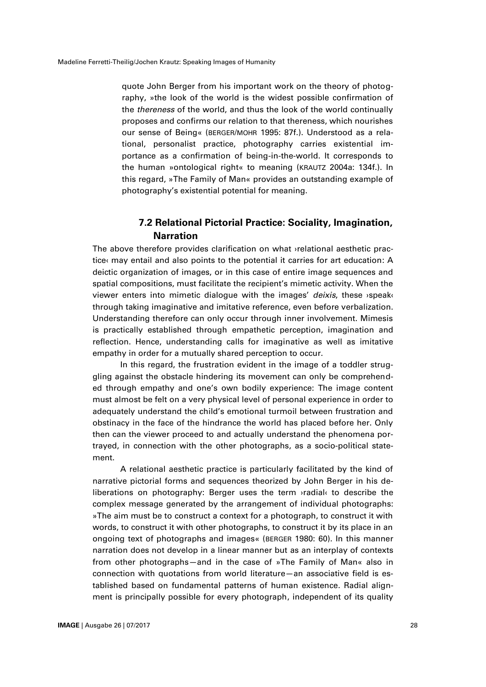quote John Berger from his important work on the theory of photography, »the look of the world is the widest possible confirmation of the *thereness* of the world, and thus the look of the world continually proposes and confirms our relation to that thereness, which nourishes our sense of Being« (BERGER/MOHR 1995: 87f.). Understood as a relational, personalist practice, photography carries existential importance as a confirmation of being-in-the-world. It corresponds to the human »ontological right« to meaning (KRAUTZ 2004a: 134f.). In this regard, »The Family of Man« provides an outstanding example of photography's existential potential for meaning.

## **7.2 Relational Pictorial Practice: Sociality, Imagination, Narration**

The above therefore provides clarification on what ›relational aesthetic practice‹ may entail and also points to the potential it carries for art education: A deictic organization of images, or in this case of entire image sequences and spatial compositions, must facilitate the recipient's mimetic activity. When the viewer enters into mimetic dialogue with the images' *deixis*, these ›speak‹ through taking imaginative and imitative reference, even before verbalization. Understanding therefore can only occur through inner involvement. Mimesis is practically established through empathetic perception, imagination and reflection. Hence, understanding calls for imaginative as well as imitative empathy in order for a mutually shared perception to occur.

In this regard, the frustration evident in the image of a toddler struggling against the obstacle hindering its movement can only be comprehended through empathy and one's own bodily experience: The image content must almost be felt on a very physical level of personal experience in order to adequately understand the child's emotional turmoil between frustration and obstinacy in the face of the hindrance the world has placed before her. Only then can the viewer proceed to and actually understand the phenomena portrayed, in connection with the other photographs, as a socio-political statement.

A relational aesthetic practice is particularly facilitated by the kind of narrative pictorial forms and sequences theorized by John Berger in his deliberations on photography: Berger uses the term ›radial‹ to describe the complex message generated by the arrangement of individual photographs: »The aim must be to construct a context for a photograph, to construct it with words, to construct it with other photographs, to construct it by its place in an ongoing text of photographs and images« (BERGER 1980: 60). In this manner narration does not develop in a linear manner but as an interplay of contexts from other photographs—and in the case of »The Family of Man« also in connection with quotations from world literature—an associative field is established based on fundamental patterns of human existence. Radial alignment is principally possible for every photograph, independent of its quality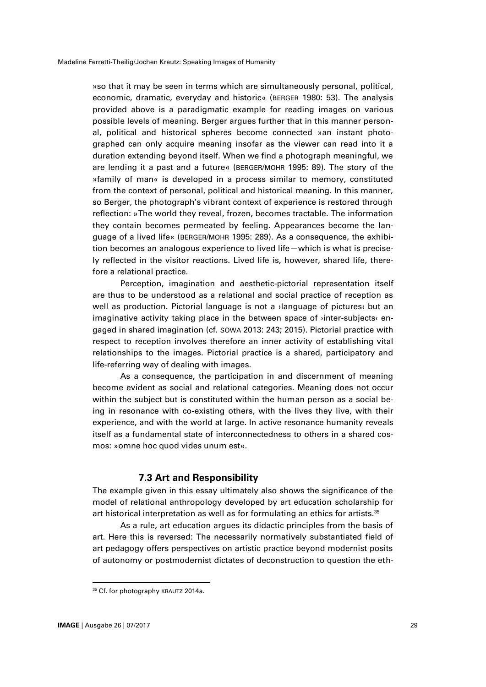»so that it may be seen in terms which are simultaneously personal, political, economic, dramatic, everyday and historic« (BERGER 1980: 53). The analysis provided above is a paradigmatic example for reading images on various possible levels of meaning. Berger argues further that in this manner personal, political and historical spheres become connected »an instant photographed can only acquire meaning insofar as the viewer can read into it a duration extending beyond itself. When we find a photograph meaningful, we are lending it a past and a future« (BERGER/MOHR 1995: 89). The story of the »family of man« is developed in a process similar to memory, constituted from the context of personal, political and historical meaning. In this manner, so Berger, the photograph's vibrant context of experience is restored through reflection: »The world they reveal, frozen, becomes tractable. The information they contain becomes permeated by feeling. Appearances become the language of a lived life« (BERGER/MOHR 1995: 289). As a consequence, the exhibition becomes an analogous experience to lived life—which is what is precisely reflected in the visitor reactions. Lived life is, however, shared life, therefore a relational practice.

Perception, imagination and aesthetic-pictorial representation itself are thus to be understood as a relational and social practice of reception as well as production. Pictorial language is not a ›language of pictures‹ but an imaginative activity taking place in the between space of ›inter-subjects‹ engaged in shared imagination (cf. SOWA 2013: 243; 2015). Pictorial practice with respect to reception involves therefore an inner activity of establishing vital relationships to the images. Pictorial practice is a shared, participatory and life-referring way of dealing with images.

As a consequence, the participation in and discernment of meaning become evident as social and relational categories. Meaning does not occur within the subject but is constituted within the human person as a social being in resonance with co-existing others, with the lives they live, with their experience, and with the world at large. In active resonance humanity reveals itself as a fundamental state of interconnectedness to others in a shared cosmos: »omne hoc quod vides unum est«.

## **7.3 Art and Responsibility**

The example given in this essay ultimately also shows the significance of the model of relational anthropology developed by art education scholarship for art historical interpretation as well as for formulating an ethics for artists. $^{\rm 35}$ 

As a rule, art education argues its didactic principles from the basis of art. Here this is reversed: The necessarily normatively substantiated field of art pedagogy offers perspectives on artistic practice beyond modernist posits of autonomy or postmodernist dictates of deconstruction to question the eth-

<sup>&</sup>lt;sup>35</sup> Cf. for photography KRAUTZ 2014a.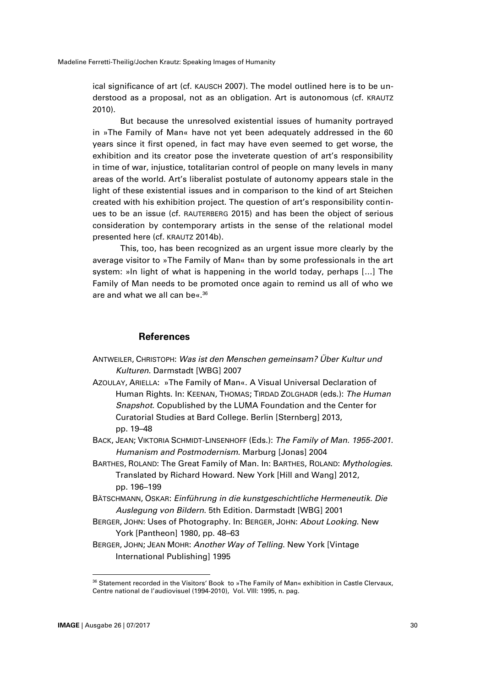ical significance of art (cf. KAUSCH 2007). The model outlined here is to be understood as a proposal, not as an obligation. Art is autonomous (cf. KRAUTZ 2010).

But because the unresolved existential issues of humanity portrayed in »The Family of Man« have not yet been adequately addressed in the 60 years since it first opened, in fact may have even seemed to get worse, the exhibition and its creator pose the inveterate question of art's responsibility in time of war, injustice, totalitarian control of people on many levels in many areas of the world. Art's liberalist postulate of autonomy appears stale in the light of these existential issues and in comparison to the kind of art Steichen created with his exhibition project. The question of art's responsibility continues to be an issue (cf. RAUTERBERG 2015) and has been the object of serious consideration by contemporary artists in the sense of the relational model presented here (cf. KRAUTZ 2014b).

This, too, has been recognized as an urgent issue more clearly by the average visitor to »The Family of Man« than by some professionals in the art system: »In light of what is happening in the world today, perhaps […] The Family of Man needs to be promoted once again to remind us all of who we are and what we all can be«. 36

### **References**

- ANTWEILER, CHRISTOPH: *Was ist den Menschen gemeinsam? Über Kultur und Kulturen*. Darmstadt [WBG] 2007
- AZOULAY, ARIELLA: »The Family of Man«. A Visual Universal Declaration of Human Rights. In: KEENAN, THOMAS; TIRDAD ZOLGHADR (eds.): *The Human Snapshot*. Copublished by the LUMA Foundation and the Center for Curatorial Studies at Bard College. Berlin [Sternberg] 2013, pp. 19–48

BACK, JEAN; VIKTORIA SCHMIDT-LINSENHOFF (Eds.): *The Family of Man. 1955-2001. Humanism and Postmodernism*. Marburg [Jonas] 2004

- BARTHES, ROLAND: The Great Family of Man. In: BARTHES, ROLAND: *Mythologies*. Translated by Richard Howard. New York [Hill and Wang] 2012, pp. 196–199
- BÄTSCHMANN, OSKAR: *Einführung in die kunstgeschichtliche Hermeneutik. Die Auslegung von Bildern*. 5th Edition. Darmstadt [WBG] 2001
- BERGER, JOHN: Uses of Photography. In: BERGER, JOHN: *About Looking*. New York [Pantheon] 1980, pp. 48–63
- BERGER, JOHN; JEAN MOHR: *Another Way of Telling*. New York [Vintage International Publishing] 1995

<sup>&</sup>lt;sup>36</sup> Statement recorded in the Visitors' Book to »The Family of Man« exhibition in Castle Clervaux, Centre national de l'audiovisuel (1994-2010), Vol. VIII: 1995, n. pag.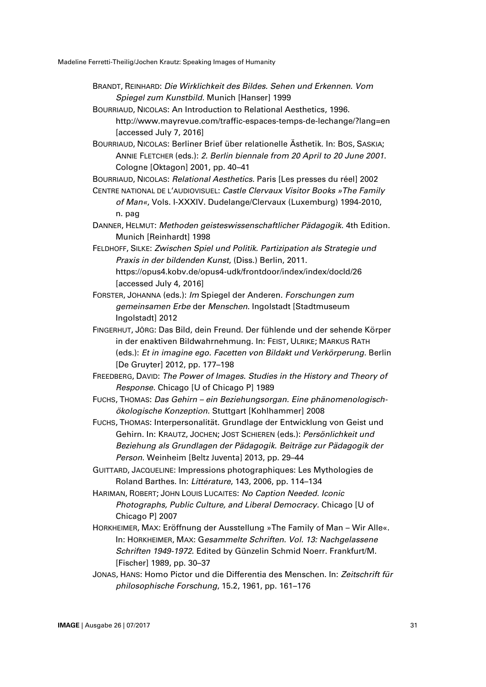- BRANDT, REINHARD: *Die Wirklichkeit des Bildes. Sehen und Erkennen. Vom Spiegel zum Kunstbild*. Munich [Hanser] 1999
- BOURRIAUD, NICOLAS: An Introduction to Relational Aesthetics, 1996. http://www.mayrevue.com/traffic-espaces-temps-de-lechange/?lang=en [accessed July 7, 2016]
- BOURRIAUD, NICOLAS: Berliner Brief über relationelle Ästhetik. In: BOS, SASKIA; ANNIE FLETCHER (eds.): *2. Berlin biennale from 20 April to 20 June 2001*. Cologne [Oktagon] 2001, pp. 40–41
- BOURRIAUD, NICOLAS: *Relational Aesthetics*. Paris [Les presses du réel] 2002
- CENTRE NATIONAL DE L'AUDIOVISUEL: *Castle Clervaux Visitor Books »The Family of Man«*, Vols. I-XXXIV. Dudelange/Clervaux (Luxemburg) 1994-2010, n. pag
- DANNER, HELMUT: *Methoden geisteswissenschaftlicher Pädagogik*. 4th Edition. Munich [Reinhardt] 1998
- FELDHOFF, SILKE: *Zwischen Spiel und Politik. Partizipation als Strategie und Praxis in der bildenden Kunst*, (Diss.) Berlin, 2011.
	- https://opus4.kobv.de/opus4-udk/frontdoor/index/index/docId/26 [accessed July 4, 2016]
- FORSTER, JOHANNA (eds.): *Im* Spiegel der Anderen*. Forschungen zum gemeinsamen Erbe* der *Menschen*. Ingolstadt [Stadtmuseum Ingolstadt] 2012
- FINGERHUT, JÖRG: Das Bild, dein Freund. Der fühlende und der sehende Körper in der enaktiven Bildwahrnehmung. In: FEIST, ULRIKE; MARKUS RATH (eds.): *Et in imagine ego. Facetten von Bildakt und Verkörperung*. Berlin [De Gruyter] 2012, pp. 177–198
- FREEDBERG, DAVID: *The Power of Images. Studies in the History and Theory of Response*. Chicago [U of Chicago P] 1989
- FUCHS, THOMAS: *Das Gehirn – ein Beziehungsorgan. Eine phänomenologischökologische Konzeption*. Stuttgart [Kohlhammer] 2008
- FUCHS, THOMAS: Interpersonalität. Grundlage der Entwicklung von Geist und Gehirn. In: KRAUTZ, JOCHEN; JOST SCHIEREN (eds.): *Persönlichkeit und Beziehung als Grundlagen der Pädagogik. Beiträge zur Pädagogik der Person*. Weinheim [Beltz Juventa] 2013, pp. 29–44
- GUITTARD, JACQUELINE: Impressions photographiques: Les Mythologies de Roland Barthes. In: *Littérature*, 143, 2006, pp. 114–134
- HARIMAN, ROBERT; JOHN LOUIS LUCAITES: *No Caption Needed. Iconic Photographs, Public Culture, and Liberal Democracy.* Chicago [U of Chicago P] 2007
- HORKHEIMER, MAX: Eröffnung der Ausstellung »The Family of Man Wir Alle«. In: HORKHEIMER, MAX: G*esammelte Schriften. Vol. 13: Nachgelassene Schriften 1949-1972*. Edited by Günzelin Schmid Noerr. Frankfurt/M. [Fischer] 1989, pp. 30–37
- JONAS, HANS: Homo Pictor und die Differentia des Menschen. In: *Zeitschrift für philosophische Forschung*, 15.2, 1961, pp. 161–176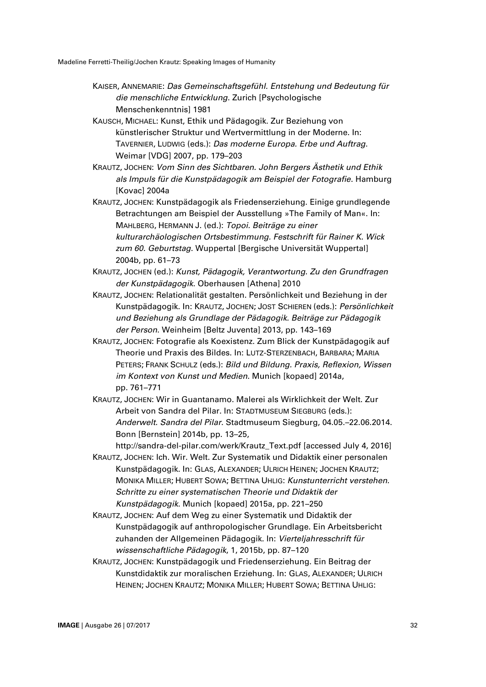- KAISER, ANNEMARIE: *Das Gemeinschaftsgefühl. Entstehung und Bedeutung für die menschliche Entwicklung*. Zurich [Psychologische Menschenkenntnis] 1981
- KAUSCH, MICHAEL: Kunst, Ethik und Pädagogik. Zur Beziehung von künstlerischer Struktur und Wertvermittlung in der Moderne. In: TAVERNIER, LUDWIG (eds.): *Das moderne Europa. Erbe und Auftrag*. Weimar [VDG] 2007, pp. 179–203
- KRAUTZ, JOCHEN: *Vom Sinn des Sichtbaren. John Bergers Ästhetik und Ethik als Impuls für die Kunstpädagogik am Beispiel der Fotografie*. Hamburg [Kovac] 2004a
- KRAUTZ, JOCHEN: Kunstpädagogik als Friedenserziehung. Einige grundlegende Betrachtungen am Beispiel der Ausstellung »The Family of Man«. In: MAHLBERG, HERMANN J. (ed.): *Topoi. Beiträge zu einer kulturarchäologischen Ortsbestimmung. Festschrift für Rainer K. Wick zum 60. Geburtstag*. Wuppertal [Bergische Universität Wuppertal] 2004b, pp. 61–73
- KRAUTZ, JOCHEN (ed.): *Kunst, Pädagogik, Verantwortung. Zu den Grundfragen der Kunstpädagogik*. Oberhausen [Athena] 2010
- KRAUTZ, JOCHEN: Relationalität gestalten. Persönlichkeit und Beziehung in der Kunstpädagogik. In: KRAUTZ, JOCHEN; JOST SCHIEREN (eds.): *Persönlichkeit und Beziehung als Grundlage der Pädagogik. Beiträge zur Pädagogik der Person*. Weinheim [Beltz Juventa] 2013, pp. 143–169
- KRAUTZ, JOCHEN: Fotografie als Koexistenz. Zum Blick der Kunstpädagogik auf Theorie und Praxis des Bildes. In: LUTZ-STERZENBACH, BARBARA; MARIA PETERS; FRANK SCHULZ (eds.): *Bild und Bildung. Praxis, Reflexion, Wissen im Kontext von Kunst und Medien*. Munich [kopaed] 2014a, pp. 761–771
- KRAUTZ, JOCHEN: Wir in Guantanamo. Malerei als Wirklichkeit der Welt. Zur Arbeit von Sandra del Pilar. In: STADTMUSEUM SIEGBURG (eds.): *Anderwelt. Sandra del Pilar*. Stadtmuseum Siegburg, 04.05.–22.06.2014. Bonn [Bernstein] 2014b, pp. 13–25,

http://sandra-del-pilar.com/werk/Krautz\_Text.pdf [accessed July 4, 2016]

- KRAUTZ, JOCHEN: Ich. Wir. Welt. Zur Systematik und Didaktik einer personalen Kunstpädagogik. In: GLAS, ALEXANDER; ULRICH HEINEN; JOCHEN KRAUTZ; MONIKA MILLER; HUBERT SOWA; BETTINA UHLIG: *Kunstunterricht verstehen. Schritte zu einer systematischen Theorie und Didaktik der Kunstpädagogik*. Munich [kopaed] 2015a, pp. 221–250
- KRAUTZ, JOCHEN: Auf dem Weg zu einer Systematik und Didaktik der Kunstpädagogik auf anthropologischer Grundlage. Ein Arbeitsbericht zuhanden der Allgemeinen Pädagogik. In: *Vierteljahresschrift für wissenschaftliche Pädagogik*, 1, 2015b, pp. 87–120
- KRAUTZ, JOCHEN: Kunstpädagogik und Friedenserziehung. Ein Beitrag der Kunstdidaktik zur moralischen Erziehung. In: GLAS, ALEXANDER; ULRICH HEINEN; JOCHEN KRAUTZ; MONIKA MILLER; HUBERT SOWA; BETTINA UHLIG: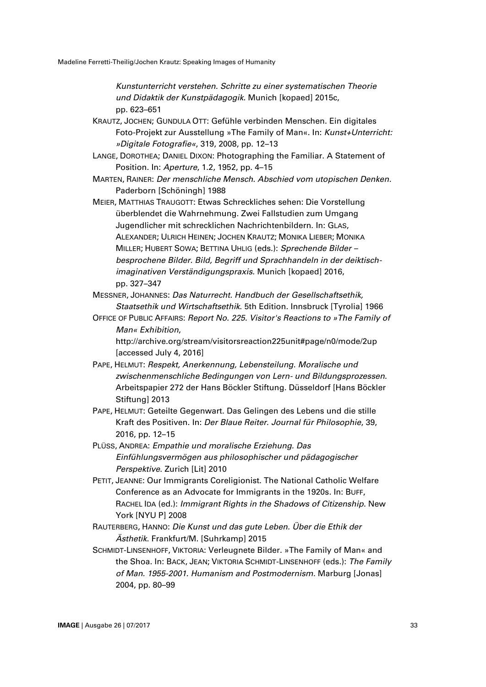*Kunstunterricht verstehen. Schritte zu einer systematischen Theorie und Didaktik der Kunstpädagogik*. Munich [kopaed] 2015c, pp. 623–651

KRAUTZ, JOCHEN; GUNDULA OTT: Gefühle verbinden Menschen. Ein digitales Foto-Projekt zur Ausstellung »The Family of Man«. In: *Kunst+Unterricht: »Digitale Fotografie«*, 319, 2008, pp. 12–13

LANGE, DOROTHEA; DANIEL DIXON: Photographing the Familiar. A Statement of Position. In: *Aperture*, 1.2, 1952, pp. 4–15

MARTEN, RAINER: *Der menschliche Mensch. Abschied vom utopischen Denken*. Paderborn [Schöningh] 1988

MEIER, MATTHIAS TRAUGOTT: Etwas Schreckliches sehen: Die Vorstellung überblendet die Wahrnehmung. Zwei Fallstudien zum Umgang Jugendlicher mit schrecklichen Nachrichtenbildern. In: GLAS, ALEXANDER; ULRICH HEINEN; JOCHEN KRAUTZ; MONIKA LIEBER; MONIKA MILLER; HUBERT SOWA; BETTINA UHLIG (eds.): *Sprechende Bilder – besprochene Bilder. Bild, Begriff und Sprachhandeln in der deiktischimaginativen Verständigungspraxis*. Munich [kopaed] 2016, pp. 327–347

MESSNER, JOHANNES: *Das Naturrecht. Handbuch der Gesellschaftsethik, Staatsethik und Wirtschaftsethik*. 5th Edition. Innsbruck [Tyrolia] 1966

OFFICE OF PUBLIC AFFAIRS: *Report No. 225. Visitor's Reactions to »The Family of Man« Exhibition*,

http://archive.org/stream/visitorsreaction225unit#page/n0/mode/2up [accessed July 4, 2016]

- PAPE, HELMUT: *Respekt, Anerkennung, Lebensteilung. Moralische und zwischenmenschliche Bedingungen von Lern- und Bildungsprozessen*. Arbeitspapier 272 der Hans Böckler Stiftung. Düsseldorf [Hans Böckler Stiftung] 2013
- PAPE, HELMUT: Geteilte Gegenwart. Das Gelingen des Lebens und die stille Kraft des Positiven. In: *Der Blaue Reiter. Journal für Philosophie*, 39, 2016, pp. 12–15
- PLÜSS, ANDREA: *Empathie und moralische Erziehung. Das Einfühlungsvermögen aus philosophischer und pädagogischer Perspektive*. Zurich [Lit] 2010
- PETIT, JEANNE: Our Immigrants Coreligionist. The National Catholic Welfare Conference as an Advocate for Immigrants in the 1920s. In: BUFF, RACHEL IDA (ed.): *Immigrant Rights in the Shadows of Citizenship*. New York [NYU P] 2008
- RAUTERBERG, HANNO: *Die Kunst und das gute Leben. Über die Ethik der Ästhetik*. Frankfurt/M. [Suhrkamp] 2015
- SCHMIDT-LINSENHOFF, VIKTORIA: Verleugnete Bilder. »The Family of Man« and the Shoa. In: BACK, JEAN; VIKTORIA SCHMIDT-LINSENHOFF (eds.): *The Family of Man. 1955-2001. Humanism and Postmodernism*. Marburg [Jonas] 2004, pp. 80–99